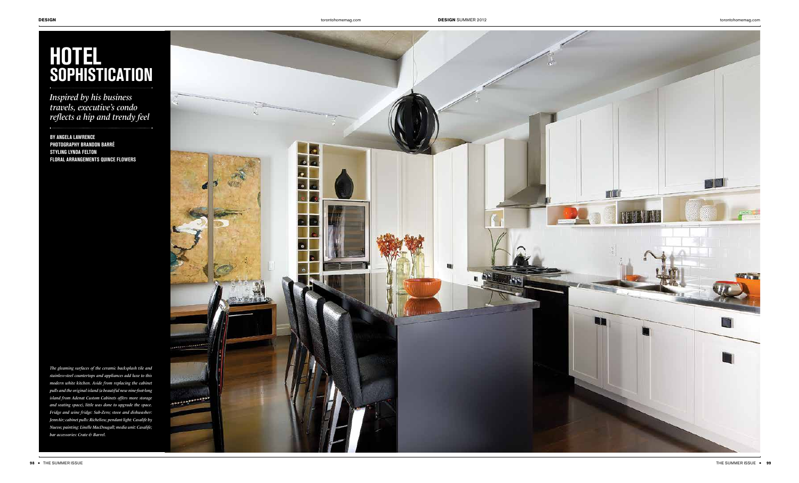

## **Hotel sophistication**

*Inspired by his business travels, executive's condo reflects a hip and trendy feel*

**by ANGELA LAWRENCE photography BRANDON BARRÉ STYLING LYNDA FELTON Floral arrangements Quince flowers**

*The gleaming surfaces of the ceramic backsplash tile and stainless-steel countertops and appliances add luxe to this modern white kitchen. Aside from replacing the cabinet pulls and the original island (a beautiful new nine-foot-long island from Adenat Custom Cabinets offers more storage and seating space), little was done to upgrade the space. Fridge and wine fridge: Sub-Zero; stove and dishwasher: JennAir; cabinet pulls: Richelieu; pendant light: Casalife by Nuevo; painting: Linelle MacDougall; media unit: Casalife; bar accessories: Crate & Barrel.*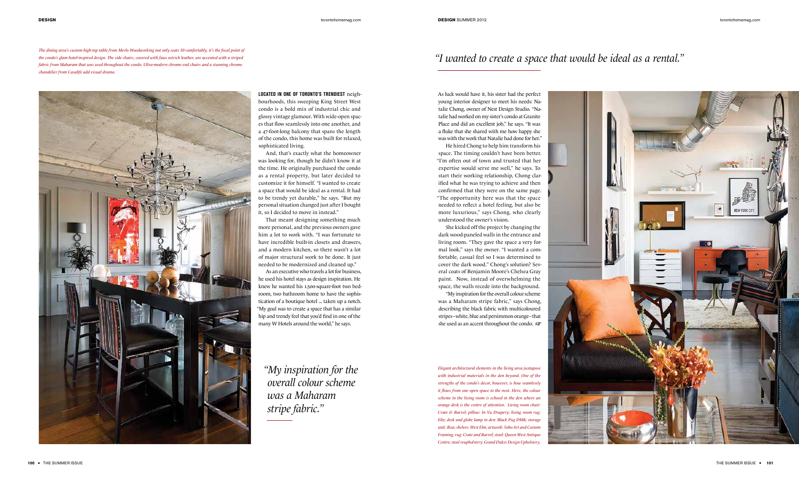*The dining area's custom high-top table from Merlo Woodworking not only seats 10 comfortably, it's the focal point of the condo's glam hotel-inspired design. The side chairs, covered with faux ostrich leather, are accented with a striped fabric from Maharam that was used throughout the condo. Ultra-modern chrome end chairs and a stunning chrome chandelier from Casalife add visual drama.* 



As luck would have it, his sister had the perfect young interior designer to meet his needs: Natalie Chong, owner of Nest Design Studio. "Natalie had worked on my sister's condo at Granite Place and did an excellent job," he says. "It was a fluke that she shared with me how happy she was with the work that Natalie had done for her."

"My inspiration for the overall colour scheme was a Maharam stripe fabric," says Chong, describing the black fabric with multicoloured stripes–white, blue and persimmon orange–that she used as an accent throughout the condo.  $\mathfrak{F}$ 

He hired Chong to help him transform his space. The timing couldn't have been better. "I'm often out of town and trusted that her expertise would serve me well," he says. To start their working relationship, Chong clarified what he was trying to achieve and then confirmed that they were on the same page. "The opportunity here was that the space needed to reflect a hotel feeling, but also be more luxurious," says Chong, who clearly understood the owner's vision.

She kicked off the project by changing the dark wood-paneled walls in the entrance and living room. "They gave the space a very formal look," says the owner. "I wanted a comfortable, casual feel so I was determined to cover the dark wood." Chong's solution? Several coats of Benjamin Moore's Chelsea Gray paint. Now, instead of overwhelming the space, the walls recede into the background.

## *"I wanted to create a space that would be ideal as a rental."*

**Located in one of Toronto's trendiest** neighbourhoods, this sweeping King Street West condo is a bold mix of industrial chic and glossy vintage glamour. With wide-open spaces that flow seamlessly into one another, and a 47-foot-long balcony that spans the length of the condo, this home was built for relaxed, sophisticated living.

And, that's exactly what the homeowner was looking for, though he didn't know it at the time. He originally purchased the condo as a rental property, but later decided to customize it for himself. "I wanted to create a space that would be ideal as a rental. It had to be trendy yet durable," he says. "But my personal situation changed just after I bought it, so I decided to move in instead."

That meant designing something much more personal, and the previous owners gave him a lot to work with. "I was fortunate to have incredible built-in closets and drawers, and a modern kitchen, so there wasn't a lot of major structural work to be done. It just needed to be modernized and cleaned up."

As an executive who travels a lot for business, he used his hotel stays as design inspiration. He knew he wanted his 1,500-square-foot two bedroom, two bathroom home to have the sophistication of a boutique hotel ... taken up a notch. "My goal was to create a space that has a similar hip and trendy feel that you'd find in one of the many W Hotels around the world," he says.

*"My inspiration for the overall colour scheme was a Maharam stripe fabric."*

*Elegant architectural elements in the living area juxtapose with industrial materials in the den beyond. One of the strengths of the condo's decor, however, is how seamlessly it flows from one open space to the next. Here, the colour scheme in the living room is echoed in the den where an orange desk is the centre of attention. Living room chair: Crate & Barrel; pillow: In Vu Drapery; living room rug: Elte; desk and globe lamp in den: Black Pug DMK; storage unit: Ikea; shelves: West Elm; artwork: Soho Art and Custom Framing; rug: Crate and Barrel; stool: Queen West Antique Centre; stool reupholstery: Grand Dukes Design Upholstery.*

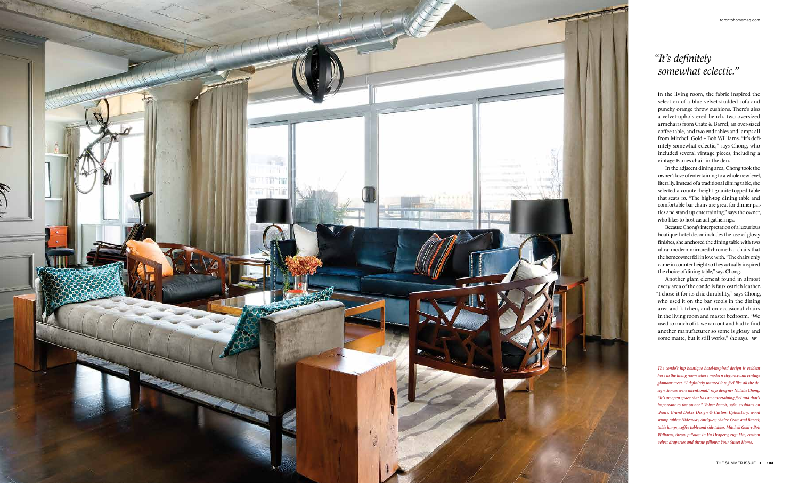

In the living room, the fabric inspired the selection of a blue velvet-studded sofa and punchy orange throw cushions. There's also a velvet-upholstered bench, two oversized armchairs from Crate & Barrel, an over-sized coffee table, and two end tables and lamps all from Mitchell Gold + Bob Williams. "It's definitely somewhat eclectic," says Chong, who included several vintage pieces, including a vintage Eames chair in the den.

Another glam element found in almost every area of the condo is faux ostrich leather. "I chose it for its chic durability," says Chong, who used it on the bar stools in the dining area and kitchen, and on occasional chairs in the living room and master bedroom. "We used so much of it, we ran out and had to find another manufacturer so some is glossy and some matte, but it still works," she says.

In the adjacent dining area, Chong took the owner's love of entertaining to a whole new level, literally. Instead of a traditional dining table, she selected a counter-height granite-topped table that seats 10. "The high-top dining table and comfortable bar chairs are great for dinner parties and stand up entertaining," says the owner, who likes to host casual gatherings.

Because Chong's interpretation of a luxurious boutique hotel decor includes the use of glossy finishes, she anchored the dining table with two ultra- modern mirrored-chrome bar chairs that the homeowner fell in love with. "The chairs only came in counter height so they actually inspired the choice of dining table," says Chong.

*The condo's hip boutique hotel-inspired design is evident here in the living room where modern elegance and vintage glamour meet. "I definitely wanted it to feel like all the design choices were intentional," says designer Natalie Chong. "It's an open space that has an entertaining feel and that's important to the owner." Velvet bench, sofa, cushions on chairs: Grand Dukes Design & Custom Upholstery; wood stump tables: Hideaway Antiques; chairs: Crate and Barrel; table lamps, coffee table and side tables: Mitchell Gold + Bob Williams; throw pillows: In Vu Drapery; rug: Elte; custom velvet draperies and throw pillows: Your Sweet Home.*

## *"It's definitely somewhat eclectic."*